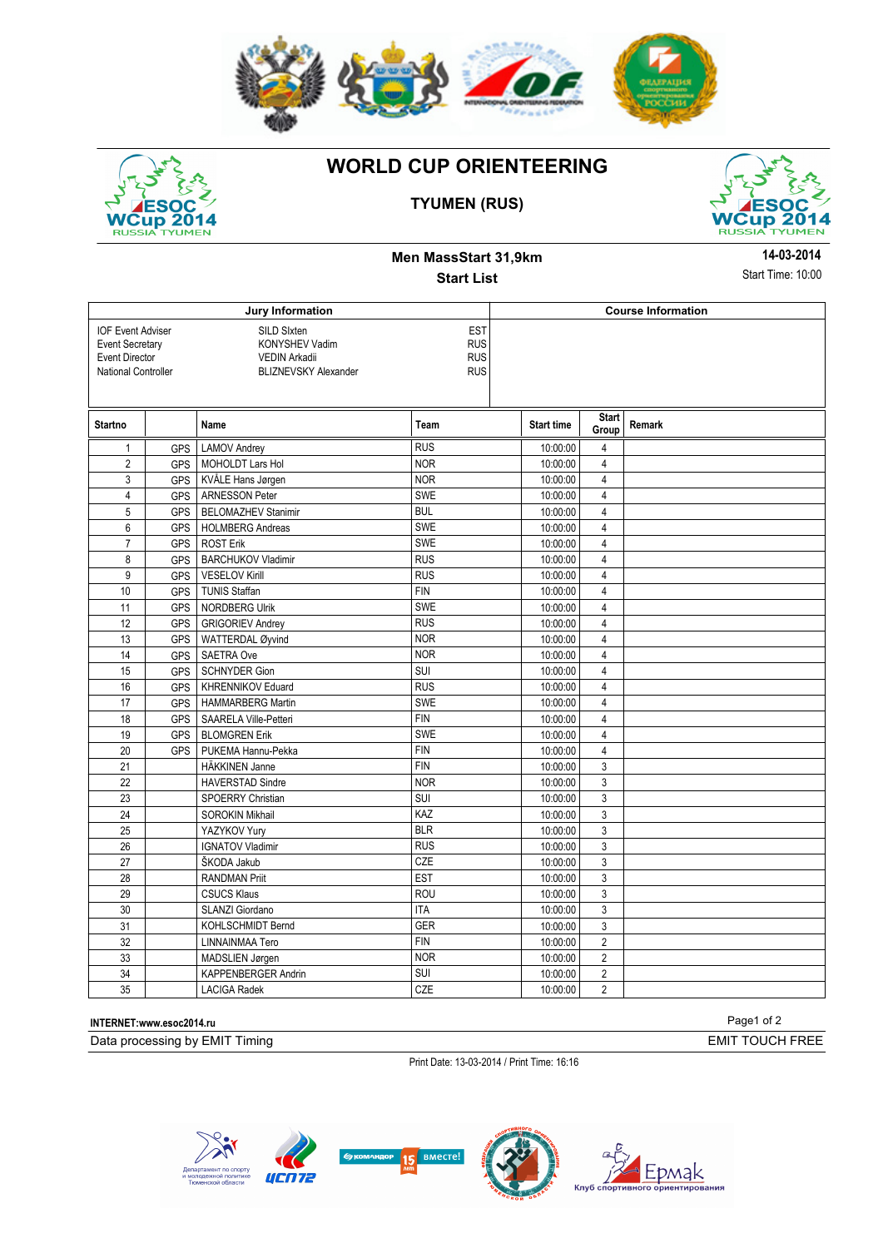





## **TYUMEN (RUS)**



**Men MassStart 31,9km Start List** 

**14-03-2014** Start Time: 10:00

|                                                                                                    | Jury Information |                                                                                                                                              | <b>Course Information</b> |                   |                       |               |
|----------------------------------------------------------------------------------------------------|------------------|----------------------------------------------------------------------------------------------------------------------------------------------|---------------------------|-------------------|-----------------------|---------------|
| <b>IOF Event Adviser</b><br><b>Event Secretary</b><br><b>Event Director</b><br>National Controller |                  | <b>EST</b><br>SILD Sixten<br><b>RUS</b><br>KONYSHEV Vadim<br><b>RUS</b><br><b>VEDIN Arkadii</b><br><b>BLIZNEVSKY Alexander</b><br><b>RUS</b> |                           |                   |                       |               |
| <b>Startno</b>                                                                                     |                  | Name                                                                                                                                         | Team                      | <b>Start time</b> | <b>Start</b><br>Group | <b>Remark</b> |
| 1                                                                                                  | <b>GPS</b>       | <b>LAMOV Andrey</b>                                                                                                                          | <b>RUS</b>                | 10:00:00          | 4                     |               |
| $\overline{2}$                                                                                     | <b>GPS</b>       | MOHOLDT Lars Hol                                                                                                                             | <b>NOR</b>                | 10:00:00          | $\overline{4}$        |               |
| 3                                                                                                  | GPS              | KVÅLE Hans Jørgen                                                                                                                            | <b>NOR</b>                | 10:00:00          | $\overline{4}$        |               |
| $\overline{4}$                                                                                     | <b>GPS</b>       | <b>ARNESSON Peter</b>                                                                                                                        | <b>SWE</b>                | 10:00:00          | $\overline{4}$        |               |
| 5                                                                                                  | <b>GPS</b>       | <b>BELOMAZHEV Stanimir</b>                                                                                                                   | <b>BUL</b>                | 10:00:00          | $\overline{4}$        |               |
| 6                                                                                                  | GPS              | <b>HOLMBERG Andreas</b>                                                                                                                      | <b>SWE</b>                | 10:00:00          | $\sqrt{4}$            |               |
| $\overline{7}$                                                                                     | <b>GPS</b>       | <b>ROST Erik</b>                                                                                                                             | SWE                       | 10:00:00          | $\overline{4}$        |               |
| 8                                                                                                  | <b>GPS</b>       | <b>BARCHUKOV Vladimir</b>                                                                                                                    | <b>RUS</b>                | 10:00:00          | $\overline{4}$        |               |
| 9                                                                                                  | GPS              | VESELOV Kirill                                                                                                                               | <b>RUS</b>                | 10:00:00          | $\overline{4}$        |               |
| 10                                                                                                 | <b>GPS</b>       | <b>TUNIS Staffan</b>                                                                                                                         | <b>FIN</b>                | 10:00:00          | $\overline{4}$        |               |
| 11                                                                                                 | GPS              | <b>NORDBERG Ulrik</b>                                                                                                                        | SWE                       | 10:00:00          | $\overline{4}$        |               |
| 12                                                                                                 | <b>GPS</b>       | <b>GRIGORIEV Andrey</b>                                                                                                                      | <b>RUS</b>                | 10:00:00          | $\overline{4}$        |               |
| 13                                                                                                 | <b>GPS</b>       | WATTERDAL Øyvind                                                                                                                             | <b>NOR</b>                | 10:00:00          | $\overline{4}$        |               |
| 14                                                                                                 | <b>GPS</b>       | SAETRA Ove                                                                                                                                   | <b>NOR</b>                | 10:00:00          | $\overline{4}$        |               |
| 15                                                                                                 | <b>GPS</b>       | <b>SCHNYDER Gion</b>                                                                                                                         | SUI                       | 10:00:00          | $\overline{4}$        |               |
| 16                                                                                                 | GPS              | <b>KHRENNIKOV Eduard</b>                                                                                                                     | RUS                       | 10:00:00          | $\sqrt{4}$            |               |
| 17                                                                                                 | <b>GPS</b>       | <b>HAMMARBERG Martin</b>                                                                                                                     | <b>SWE</b>                | 10:00:00          | $\overline{4}$        |               |
| 18                                                                                                 | <b>GPS</b>       | SAARELA Ville-Petteri                                                                                                                        | <b>FIN</b>                | 10:00:00          | $\overline{4}$        |               |
| 19                                                                                                 | <b>GPS</b>       | <b>BLOMGREN Erik</b>                                                                                                                         | <b>SWE</b>                | 10:00:00          | $\overline{4}$        |               |
| 20                                                                                                 | <b>GPS</b>       | PUKEMA Hannu-Pekka                                                                                                                           | <b>FIN</b>                | 10:00:00          | $\sqrt{4}$            |               |
| 21                                                                                                 |                  | HÄKKINEN Janne                                                                                                                               | <b>FIN</b>                | 10:00:00          | $\mathsf 3$           |               |
| 22                                                                                                 |                  | <b>HAVERSTAD Sindre</b>                                                                                                                      | <b>NOR</b>                | 10:00:00          | $\mathfrak{3}$        |               |
| 23                                                                                                 |                  | <b>SPOERRY Christian</b>                                                                                                                     | SUI                       | 10:00:00          | 3                     |               |
| 24                                                                                                 |                  | <b>SOROKIN Mikhail</b>                                                                                                                       | KAZ                       | 10:00:00          | $\mathfrak{3}$        |               |
| 25                                                                                                 |                  | YAZYKOV Yury                                                                                                                                 | <b>BLR</b>                | 10:00:00          | $\overline{3}$        |               |
| $\overline{26}$                                                                                    |                  | <b>IGNATOV Vladimir</b>                                                                                                                      | <b>RUS</b>                | 10:00:00          | 3                     |               |
| 27                                                                                                 |                  | ŠKODA Jakub                                                                                                                                  | <b>CZE</b>                | 10:00:00          | 3                     |               |
| 28                                                                                                 |                  | <b>RANDMAN Priit</b>                                                                                                                         | <b>EST</b>                | 10:00:00          | $\mathfrak{3}$        |               |
| $\overline{29}$                                                                                    |                  | <b>CSUCS Klaus</b>                                                                                                                           | <b>ROU</b>                | 10:00:00          | $\mathfrak{3}$        |               |
| 30                                                                                                 |                  | SLANZI Giordano                                                                                                                              | <b>ITA</b>                | 10:00:00          | 3                     |               |
| 31                                                                                                 |                  | KOHLSCHMIDT Bernd                                                                                                                            | <b>GER</b>                | 10:00:00          | $\overline{3}$        |               |
| 32                                                                                                 |                  | LINNAINMAA Tero                                                                                                                              | <b>FIN</b>                | 10:00:00          | $\overline{2}$        |               |
| 33                                                                                                 |                  | MADSLIEN Jørgen                                                                                                                              | <b>NOR</b>                | 10:00:00          | $\overline{2}$        |               |
| 34                                                                                                 |                  | KAPPENBERGER Andrin                                                                                                                          | <b>SUI</b>                | 10:00:00          | $\overline{2}$        |               |
| 35                                                                                                 |                  | <b>LACIGA Radek</b>                                                                                                                          | <b>CZE</b>                | 10:00:00          | $\overline{2}$        |               |

## Page1 of 2 **INTERNET:www.esoc2014.ru**

Data processing by EMIT Timing **EMIT TOUCH FREE** 

Print Date: 13-03-2014 / Print Time: 16:16